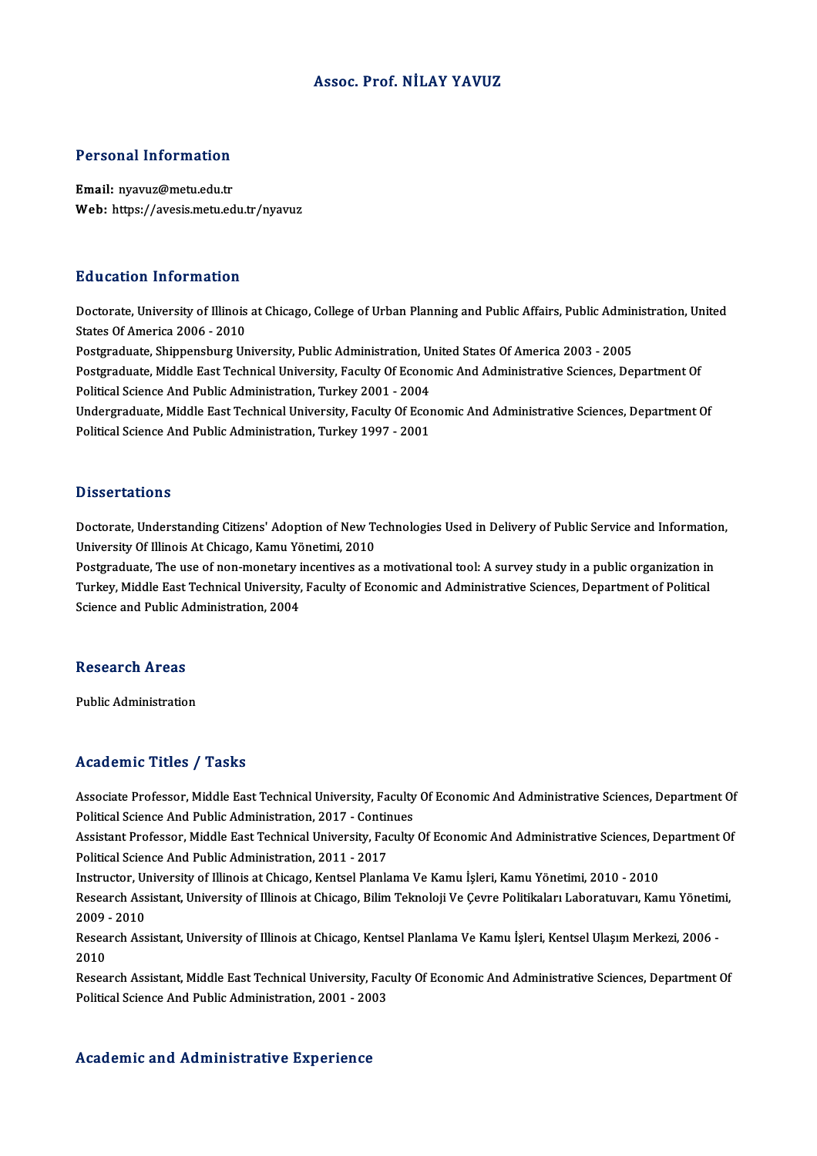# Assoc. Prof.NİLAY YAVUZ

## Personal Information

Email: nyavuz@metu.edu.tr Web: https://avesis.metu.edu.tr/nyavuz

## Education Information

**Education Information**<br>Doctorate, University of Illinois at Chicago, College of Urban Planning and Public Affairs, Public Administration, United<br>States Of America 2006 - 2010 But durion information<br>Doctorate, University of Illinois<br>States Of America 2006 - 2010<br>Bostareduste, Shinnenshurg Un Doctorate, University of Illinois at Chicago, College of Urban Planning and Public Affairs, Public Adminitatios<br>States Of America 2006 - 2010<br>Postgraduate, Shippensburg University, Public Administration, United States Of A States Of America 2006 - 2010<br>Postgraduate, Shippensburg University, Public Administration, United States Of America 2003 - 2005<br>Postgraduate, Middle East Technical University, Faculty Of Economic And Administrative Scienc Postgraduate, Shippensburg University, Public Administration, Un<br>Postgraduate, Middle East Technical University, Faculty Of Econo<br>Political Science And Public Administration, Turkey 2001 - 2004<br>Undergraduate Middle Fast Te Postgraduate, Middle East Technical University, Faculty Of Economic And Administrative Sciences, Department Of<br>Political Science And Public Administration, Turkey 2001 - 2004<br>Undergraduate, Middle East Technical University Political Science And Public Administration, Turkey 2001 - 2004<br>Undergraduate, Middle East Technical University, Faculty Of Ecor<br>Political Science And Public Administration, Turkey 1997 - 2001 Political Science And Public Administration, Turkey 1997 - 2001<br>Dissertations

Dissertations<br>Doctorate, Understanding Citizens' Adoption of New Technologies Used in Delivery of Public Service and Information,<br>University Of Wineja At Chiesse, Kamu Vänetimi, 2010 D'isser tarrens<br>Doctorate, Understanding Citizens' Adoption of New Te<br>University Of Illinois At Chicago, Kamu Yönetimi, 2010<br>Restanduate The use of new monetery incentives es a Doctorate, Understanding Citizens' Adoption of New Technologies Used in Delivery of Public Service and Informatio<br>University Of Illinois At Chicago, Kamu Yönetimi, 2010<br>Postgraduate, The use of non-monetary incentives as a

University Of Illinois At Chicago, Kamu Yönetimi, 2010<br>Postgraduate, The use of non-monetary incentives as a motivational tool: A survey study in a public organization in<br>Turkey, Middle East Technical University, Faculty o Postgraduate, The use of non-monetary i<br>Turkey, Middle East Technical University,<br>Science and Public Administration, 2004 Science and Public Administration, 2004<br>Research Areas

Public Administration

## Academic Titles / Tasks

Associate Professor, Middle East Technical University, Faculty Of Economic And Administrative Sciences, Department Of Productifical Professor, Middle East Technical University, Faculty<br>Political Science And Public Administration, 2017 - Continues<br>Assistant Professor, Middle Fast Technical University, Faculty

Assistant Professor, Middle East Technical University, Faculty Of Economic And Administrative Sciences, Department Of<br>Political Science And Public Administration, 2011 - 2017 Political Science And Public Administration, 2017 - Contin<br>Assistant Professor, Middle East Technical University, Fac<br>Political Science And Public Administration, 2011 - 2017<br>Instructor, University of Illinois at Chisago, Assistant Professor, Middle East Technical University, Faculty Of Economic And Administrative Sciences, D<br>Political Science And Public Administration, 2011 - 2017<br>Instructor, University of Illinois at Chicago, Kentsel Plan

Political Science And Public Administration, 2011 - 2017<br>Instructor, University of Illinois at Chicago, Kentsel Planlama Ve Kamu İşleri, Kamu Yönetimi, 2010 - 2010<br>Research Assistant, University of Illinois at Chicago, Bil Instructor, U<sub>l</sub><br>Research Ass<br>2009 - 2010<br>Besearch Ass Research Assistant, University of Illinois at Chicago, Bilim Teknoloji Ve Çevre Politikaları Laboratuvarı, Kamu Yönetin<br>2009 - 2010<br>Research Assistant, University of Illinois at Chicago, Kentsel Planlama Ve Kamu İşleri, Ke

2009<br>Resea<br>2010<br>Besea Research Assistant, University of Illinois at Chicago, Kentsel Planlama Ve Kamu İşleri, Kentsel Ulaşım Merkezi, 2006 -<br>2010<br>Research Assistant, Middle East Technical University, Faculty Of Economic And Administrative Scien

2010<br>Research Assistant, Middle East Technical University, Faculty Of Economic And Administrative Sciences, Department Of<br>Political Science And Public Administration, 2001 - 2003

# Academic and Administrative Experience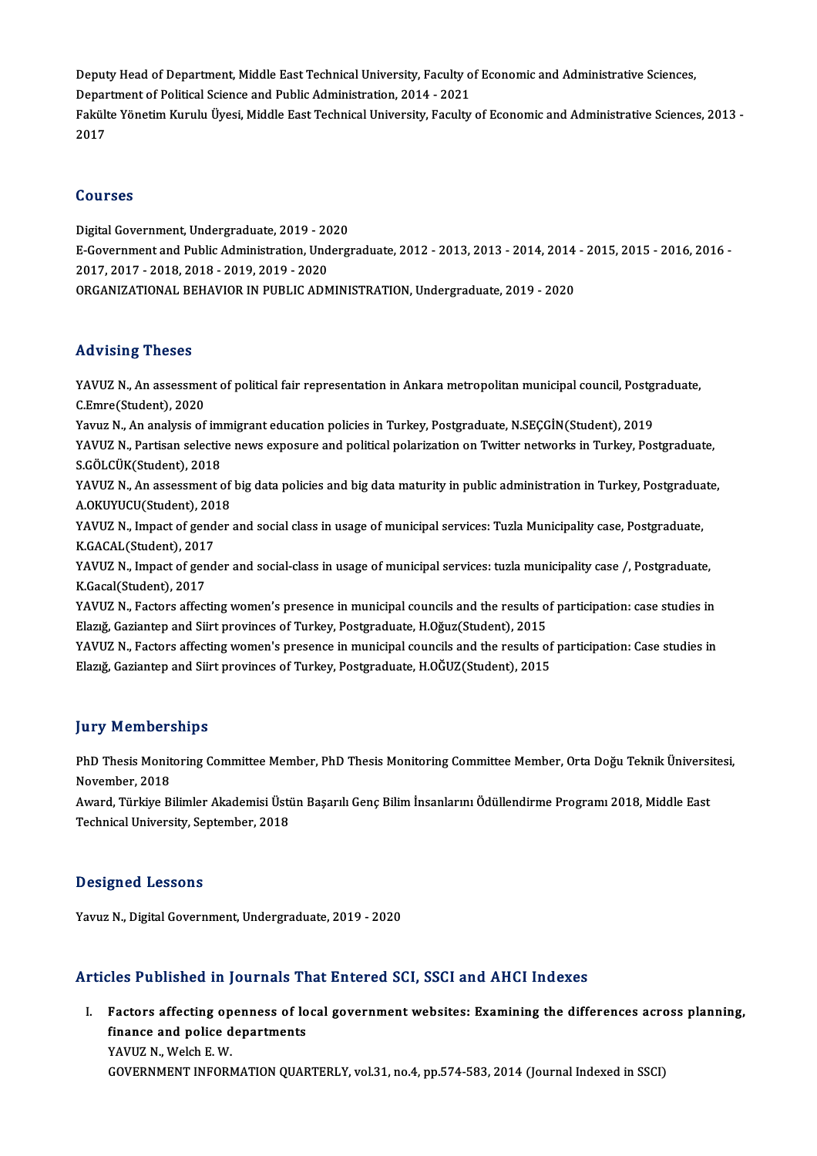Deputy Head of Department, Middle East Technical University, Faculty of Economic and Administrative Sciences,<br>Department of Political Science and Public Administration, 2014, 2021 Deputy Head of Department, Middle East Technical University, Faculty o<br>Department of Political Science and Public Administration, 2014 - 2021<br>Felsilte Vänetim Kumlu Üyesi, Middle Fest Technical University, Feculty Fakülte Yönetim Kurulu Üyesi, Middle East Technical University, Faculty of Economic and Administrative Sciences, 2013 -<br>2017 Department of Political Science and Public Administration, 2014 - 2021

# Courses

Courses<br>Digital Government, Undergraduate, 2019 - 2020<br>E Covernment and Public Administration, Undergr E-Government and Public Administration, Undergraduate, 2012 - 2013, 2013 - 2014, 2014 - 2015, 2015 - 2016, 2016 -<br>2017, 2017 - 2018, 2018 - 2019, 2019 - 2020 Digital Government, Undergraduate, 2019 - 20<br>E-Government and Public Administration, Und<br>2017, 2017 - 2018, 2018 - 2019, 2019 - 2020<br>OPCANIZATIONAL REHAVIOR IN RUBLIC ADM ORGANIZATIONALBEHAVIORINPUBLICADMINISTRATION,Undergraduate,2019 -2020

# Advising Theses

Advising Theses<br>YAVUZ N., An assessment of political fair representation in Ankara metropolitan municipal council, Postgraduate,<br>C.Emre(Student), 2020 YAVUZ N., An assessmer<br>C.Emre(Student), 2020<br>Varuz N., An analysis of YAVUZ N., An assessment of political fair representation in Ankara metropolitan municipal council, Postgr<br>C.Emre(Student), 2020<br>Yavuz N., An analysis of immigrant education policies in Turkey, Postgraduate, N.SEÇGİN(Studen

Yavuz N., An analysis of immigrant education policies in Turkey, Postgraduate, N.SEÇGİN(Student), 2019

C.Emre(Student), 2020<br>Yavuz N., An analysis of immigrant education policies in Turkey, Postgraduate, N.SEÇGİN(Student), 2019<br>YAVUZ N., Partisan selective news exposure and political polarization on Twitter networks in Turk YAVUZ N., Partisan selective news exposure and political polarization on Twitter networks in Turkey, Postgraduate,<br>S.GÖLCÜK(Student), 2018<br>YAVUZ N., An assessment of big data policies and big data maturity in public admini

S.GÖLCÜK(Student), 2018<br>YAVUZ N., An assessment of<br>A.OKUYUCU(Student), 2018<br>YAVUZ N., Impact of Sandar YAVUZ N., An assessment of big data policies and big data maturity in public administration in Turkey, Postgradua<br>A.OKUYUCU(Student), 2018<br>YAVUZ N., Impact of gender and social class in usage of municipal services: Tuzla M

A.OKUYUCU(Student), 2018<br>YAVUZ N., Impact of gender and social class in usage of municipal services: Tuzla Municipality case, Postgraduate, K.Gacal(Student),2017

YAVUZ N., Impact of gender and social-class in usage of municipal services: tuzla municipality case /, Postgraduate,<br>K.Gacal(Student), 2017 YAVUZ N., Impact of gender and social-class in usage of municipal services: tuzla municipality case /, Postgraduate,<br>K.Gacal(Student), 2017<br>YAVUZ N., Factors affecting women's presence in municipal councils and the results

K.Gacal(Student), 2017<br>YAVUZ N., Factors affecting women's presence in municipal councils and the results o<br>Elazığ, Gaziantep and Siirt provinces of Turkey, Postgraduate, H.Oğuz(Student), 2015<br>YAVUZ N., Factors affecting w YAVUZ N., Factors affecting women's presence in municipal councils and the results of participation: case studies in<br>Elazığ, Gaziantep and Siirt provinces of Turkey, Postgraduate, H.Oğuz(Student), 2015<br>YAVUZ N., Factors af

Elazığ, Gaziantep and Siirt provinces of Turkey, Postgraduate, H.Oğuz(Student), 2015<br>YAVUZ N., Factors affecting women's presence in municipal councils and the results of participation: Case studies in<br>Elazığ, Gaziantep an

# **Jury Memberships**

**Jury Memberships**<br>PhD Thesis Monitoring Committee Member, PhD Thesis Monitoring Committee Member, Orta Doğu Teknik Üniversitesi,<br>Navamber, 2018 PhD Thesis Monit<br>November, 2018<br>August Türkiye P PhD Thesis Monitoring Committee Member, PhD Thesis Monitoring Committee Member, Orta Doğu Teknik Üniversi<br>November, 2018<br>Award, Türkiye Bilimler Akademisi Üstün Başarılı Genç Bilim İnsanlarını Ödüllendirme Programı 2018, M

November, 2018<br>Award, Türkiye Bilimler Akademisi Üsti<br>Technical University, September, 2018 Technical University, September, 2018<br>Designed Lessons

Yavuz N., Digital Government, Undergraduate, 2019 - 2020

# Articles Published in Journals That Entered SCI, SSCI and AHCI Indexes

rticles Published in Journals That Entered SCI, SSCI and AHCI Indexes<br>I. Factors affecting openness of local government websites: Examining the differences across planning,<br>finance and police denartments Factors affecting openness of lo<br>finance and police departments<br>VAVUZ N. Wolch E. W. **Factors affecting op<br>finance and police d<br>YAVUZ N., Welch E. W.<br>COVERNMENT INFORM** finance and police departments<br>YAVUZ N., Welch E. W.<br>GOVERNMENT INFORMATION QUARTERLY, vol.31, no.4, pp.574-583, 2014 (Journal Indexed in SSCI)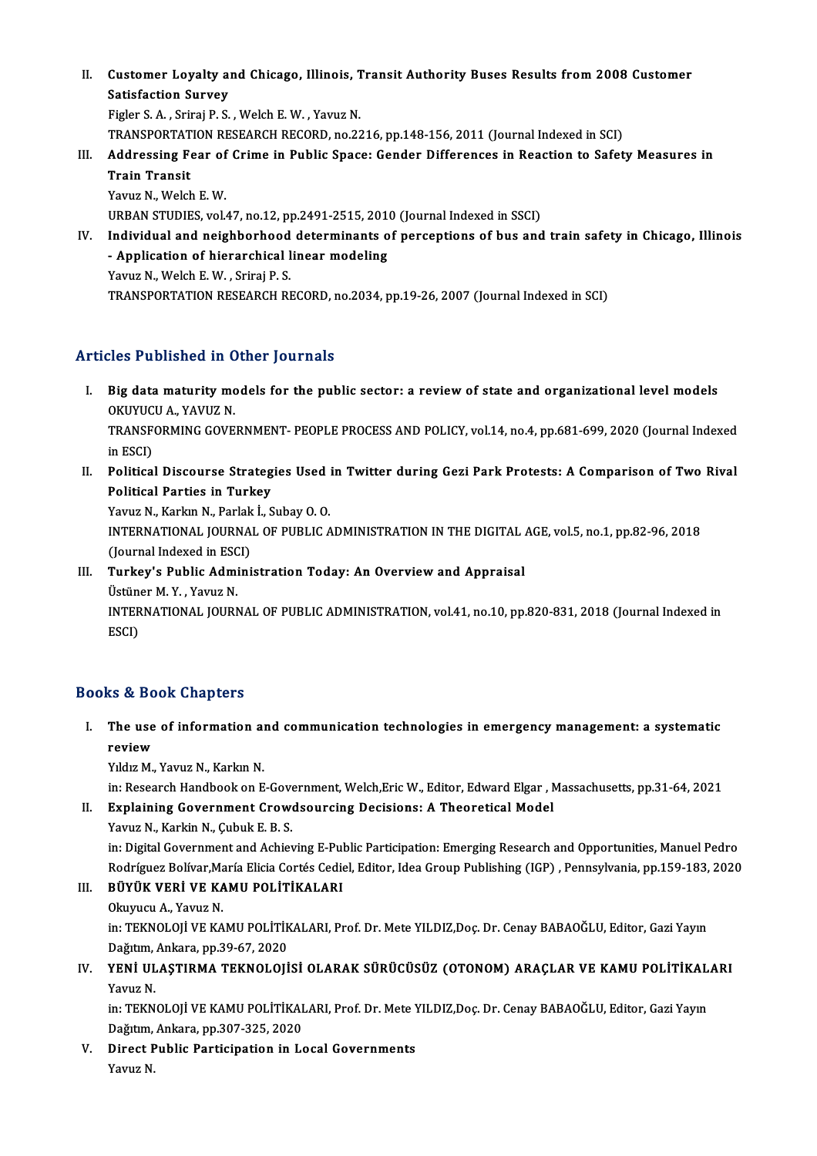II. Customer Loyalty and Chicago, Illinois, Transit Authority Buses Results from 2008 Customer<br>Setisfection Sunyov Customer Loyalty an<br>Satisfaction Survey<br>Figler S.A., Srinsi B.S. Satisfaction Survey<br>Figler S. A., Sriraj P. S., Welch E. W., Yavuz N.

Satisfaction Survey<br>Figler S. A. , Sriraj P. S. , Welch E. W. , Yavuz N.<br>TRANSPORTATION RESEARCH RECORD, no.2216, pp.148-156, 2011 (Journal Indexed in SCI)<br>Addressing Fear of Crime in Publis Spass: Corder Differenses in Pe

- Figler S. A. , Sriraj P. S. , Welch E. W. , Yavuz N.<br>TRANSPORTATION RESEARCH RECORD, no.2216, pp.148-156, 2011 (Journal Indexed in SCI)<br>III. Addressing Fear of Crime in Public Space: Gender Differences in Reaction to S TRANSPORTAT<br><mark>Addressing F</mark><br>Train Transit<br><sup>Vouw N. Welch</sup> **Addressing Fear of<br>Train Transit<br>Yavuz N., Welch E. W.<br>UPPAN STUDIES vol** Train Transit<br>Yavuz N., Welch E. W.<br>URBAN STUDIES, vol.47, no.12, pp.2491-2515, 2010 (Journal Indexed in SSCI) Yavuz N., Welch E. W.<br>URBAN STUDIES, vol.47, no.12, pp.2491-2515, 2010 (Journal Indexed in SSCI)<br>IV. Individual and neighborhood determinants of perceptions of bus and train safety in Chicago, Illinois<br>Annisation of bionar
- URBAN STUDIES, vol.47, no.12, pp.2491-2515, 2016<br>Individual and neighborhood determinants of<br>Application of hierarchical linear modeling<br>Yayuz N. Wekk E.W., Srinsi B.S. Individual and neighborhood<br>- Application of hierarchical l<br>Yavuz N., Welch E.W. , Sriraj P. S.<br>TRANSPORTATION RESEARCH PL - Application of hierarchical linear modeling<br>Yavuz N., Welch E. W. , Sriraj P. S.<br>TRANSPORTATION RESEARCH RECORD, no.2034, pp.19-26, 2007 (Journal Indexed in SCI)

# Articles Published in Other Journals

- rticles Published in Other Journals<br>I. Big data maturity models for the public sector: a review of state and organizational level models<br>OKUNICU A YAVUZ N MES T ADHOICA IN CHEEFT<br>Big data maturity mc<br>OKUYUCU A., YAVUZ N.<br>TRANSEOBMING GOVE TRANSFORMING GOVERNMENT-PEOPLE PROCESS AND POLICY, vol.14, no.4, pp.681-699, 2020 (Journal Indexed<br>in ESCI) OKUYUCU A., YAVUZ N. TRANSFORMING GOVERNMENT- PEOPLE PROCESS AND POLICY, vol.14, no.4, pp.681-699, 2020 (Journal Indexed<br>in ESCI)<br>II. Political Discourse Strategies Used in Twitter during Gezi Park Protests: A Comparison of Two Rival<br>Political
- in ESCI)<br>Political Discourse Strateg<br>Political Parties in Turkey<br><sup>Vouuz N. Korlan N. Porlak I. S</sub></sup> Political Discourse Strategies Used<br>Political Parties in Turkey<br>Yavuz N., Karkın N., Parlak İ., Subay O. O.<br>INTERNATIONAL JOURNAL OE BURLIC A

Political Parties in Turkey<br>Yavuz N., Karkın N., Parlak İ., Subay O. O.<br>INTERNATIONAL JOURNAL OF PUBLIC ADMINISTRATION IN THE DIGITAL AGE, vol.5, no.1, pp.82-96, 2018<br>(Journal Indoved in ESCL) Yavuz N., Karkın N., Parlak<br>INTERNATIONAL JOURNA<br>(Journal Indexed in ESCI)<br>Turkov's Bublis Admini INTERNATIONAL JOURNAL OF PUBLIC ADMINISTRATION IN THE DIGITAL.<br>(Journal Indexed in ESCI)<br>III. Turkey's Public Administration Today: An Overview and Appraisal<br>(Ictiner M. Y. Yourn N.

(Journal Indexed in ESC)<br>Turkey's Public Admi<br>Üstüner M.Y., Yavuz N.<br>INTERNATIONAL JOURN INTERNATIONAL JOURNAL OF PUBLIC ADMINISTRATION, vol.41, no.10, pp.820-831, 2018 (Journal Indexed in<br>ESCI) Üstüner M.Y., Yavuz N.

# Books&Book Chapters

ooks & Book Chapters<br>I. The use of information and communication technologies in emergency management: a systematic<br>review re we<br>The use<br>review<br><sup>Vildra M</sup> The use of information a<mark>r</mark><br>review<br>Yıldız M., Yavuz N., Karkın N.<br>in: Besearsh Handbook on E review<br>Yıldız M., Yavuz N., Karkın N.<br>in: Research Handbook on E-Government, Welch,Eric W., Editor, Edward Elgar , Massachusetts, pp.31-64, 2021<br>Evnlaining Government Crowdsoursing Desisions: A Theoretisel Model

Yıldız M., Yavuz N., Karkın N.<br>in: Research Handbook on E-Government, Welch,Eric W., Editor, Edward Elgar , M.<br>II. Explaining Government Crowdsourcing Decisions: A Theoretical Model<br>Yavuz N., Karkin N., Çubuk E. B. S. in: Research Handbook on E-Gove<br>Explaining Government Crowe<br>Yavuz N., Karkin N., Çubuk E. B. S.<br>in: Digital Covernment and Achiot

Explaining Government Crowdsourcing Decisions: A Theoretical Model<br>Yavuz N., Karkin N., Çubuk E. B. S.<br>in: Digital Government and Achieving E-Public Participation: Emerging Research and Opportunities, Manuel Pedro<br>Redrígue Yavuz N., Karkin N., Çubuk E. B. S.<br>in: Digital Government and Achieving E-Public Participation: Emerging Research and Opportunities, Manuel Pedro<br>Rodríguez Bolívar,María Elicia Cortés Cediel, Editor, Idea Group Publishing in: Digital Government and Achieving E-Pul<br>Rodríguez Bolívar,María Elicia Cortés Cedie<br>III. BÜYÜK VERİ VE KAMU POLİTİKALARI<br>Olaynıcu A. Yayır N

Rodríguez Bolívar,María Elicia Cortés Cediel, Editor, Idea Group Publishing (IGP) , Pennsylvania, pp.159-183, 2020<br>III. BÜYÜK VERİ VE KAMU POLİTİKALARI<br>Okuyucu A., Yavuz N. BÜYÜK VERİ VE KAMU POLİTİKALARI<br>Okuyucu A., Yavuz N.<br>in: TEKNOLOJİ VE KAMU POLİTİKALARI, Prof. Dr. Mete YILDIZ,Doç. Dr. Cenay BABAOĞLU, Editor, Gazi Yayın<br>Dağıtım Ankara, pp.30,67,2020 Okuyucu A., Yavuz N.<br>in: TEKNOLOJİ VE KAMU POLİTİK<br>Dağıtım, Ankara, pp.39-67, 2020<br>YENİ III ASTIBMA TEKNOLOJİ in: TEKNOLOJİ VE KAMU POLİTİKALARI, Prof. Dr. Mete YILDIZ,Doç. Dr. Cenay BABAOĞLU, Editor, Gazi Yayın<br>Dağıtım, Ankara, pp.39-67, 2020<br>IV. YENİ ULAŞTIRMA TEKNOLOJİSİ OLARAK SÜRÜCÜSÜZ (OTONOM) ARAÇLAR VE KAMU POLİTİKALAR

# Dağıtım,<br>YENİ UL<br>Yavuz N. YENİ ULAŞTIRMA TEKNOLOJİSİ OLARAK SÜRÜCÜSÜZ (OTONOM) ARAÇLAR VE KAMU POLİTİKAL<br>Yavuz N.<br>in: TEKNOLOJİ VE KAMU POLİTİKALARI, Prof. Dr. Mete YILDIZ,Doç. Dr. Cenay BABAOĞLU, Editor, Gazi Yayın<br>Değitim Ankara np.307,325, 2020

Yavuz N.<br>in: TEKNOLOJİ VE KAMU POLİTİKALARI, Prof. Dr. Mete YILDIZ,Doç. Dr. Cenay BABAOĞLU, Editor, Gazi Yayın<br>Dağıtım, Ankara, pp.307-325, 2020 in: TEKNOLOJİ VE KAMU POLİTİKALARI, Prof. Dr. Mete Y<br>Dağıtım, Ankara, pp.307-325, 2020<br>V. Direct Public Participation in Local Governments<br>Vayur N

Dağıtım,<br><mark>Direct F</mark><br>Yavuz N.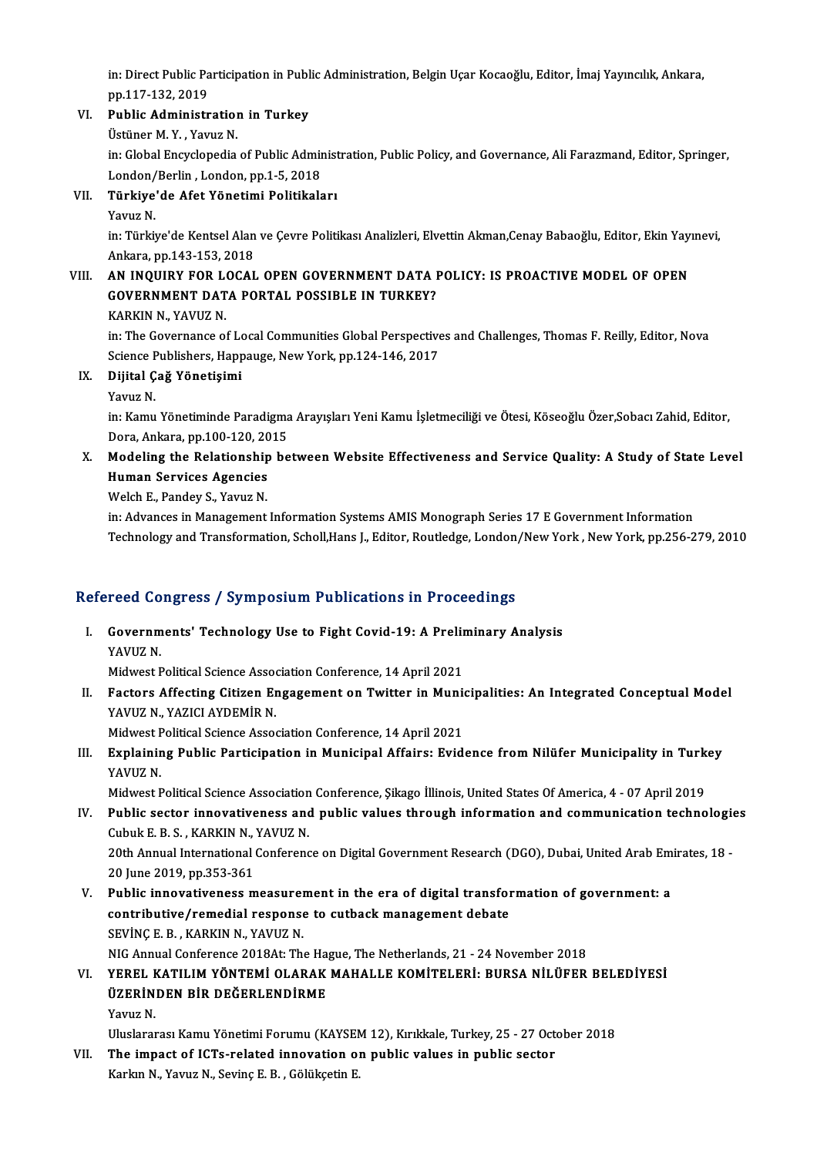in: Direct Public Participation in Public Administration, Belgin Uçar Kocaoğlu, Editor, İmaj Yayıncılık, Ankara,<br>nn 117 122 2019 in: Direct Public Pa<br>pp.117-132, 2019<br>Public Administr in: Direct Public Participation in Publ<br>pp.117-132, 2019<br>VI. Public Administration in Turkey pp.117-132, 2019<br><mark>Public Administratio:</mark><br>Üstüner M. Y. , Yavuz N.<br>in: Clabel Engyelonedia

Public Administration in Turkey<br>Üstüner M. Y. , Yavuz N.<br>in: Global Encyclopedia of Public Administration, Public Policy, and Governance, Ali Farazmand, Editor, Springer,<br>Landan/Barlin, Landan, nn 1, 5, 2019 Üstüner M. Y. , Yavuz N.<br>in: Global Encyclopedia of Public Admir<br>London/Berlin , London, pp.1-5, 2018<br>Türkiye'de Afet Vönetimi Belitikals in: Global Encyclopedia of Public Administ<br>London/Berlin , London, pp.1-5, 2018<br>VII. Türkiye'de Afet Yönetimi Politikaları<br>Vayuz N London/<br>**Türkiye**<br>Yavuz N.

Yavuz N.<br>in: Türkiye'de Kentsel Alan ve Cevre Politikası Analizleri, Elvettin Akman,Cenay Babaoğlu, Editor, Ekin Yayınevi, Ankara,pp.143-153,2018 in: Türkiye'de Kentsel Alan ve Çevre Politikası Analizleri, Elvettin Akman,Cenay Babaoğlu, Editor, Ekin Yay:<br>Ankara, pp.143-153, 2018<br>VIII. AN INQUIRY FOR LOCAL OPEN GOVERNMENT DATA POLICY: IS PROACTIVE MODEL OF OPEN

# Ankara, pp.143-153, 2018<br>AN INQUIRY FOR LOCAL OPEN GOVERNMENT DATA I<br>GOVERNMENT DATA PORTAL POSSIBLE IN TURKEY?<br>KARKIN N. YAVUZ N <mark>AN INQUIRY FOR L<sup>e</sup>GOVERNMENT DAT</mark><br>KARKIN N., YAVUZ N.<br>in: The Covernance of

GOVERNMENT DATA PORTAL POSSIBLE IN TURKEY?<br>KARKIN N., YAVUZ N.<br>in: The Governance of Local Communities Global Perspectives and Challenges, Thomas F. Reilly, Editor, Nova<br>Science Bublishers, Hannauge, Now York, np.134,146, KARKIN N., YAVUZ N.<br>in: The Governance of Local Communities Global Perspective<br>Science Publishers, Happauge, New York, pp.124-146, 2017<br>Dijital Což Vēnotisimi Science Publishers, Happauge, New York, pp.124-146, 2017

# IX. Dijital Çağ Yönetişimi

in: Kamu Yönetiminde Paradigma Arayışları Yeni Kamu İşletmeciliği ve Ötesi, Köseoğlu Özer,Sobacı Zahid, Editor, Yavuz N.<br>in: Kamu Yönetiminde Paradigma<br>Dora, Ankara, pp.100-120, 2015<br>Modeling the Relationshin he in: Kamu Yönetiminde Paradigma Arayışları Yeni Kamu İşletmeciliği ve Ötesi, Köseoğlu Özer,Sobacı Zahid, Editor,<br>Dora, Ankara, pp.100-120, 2015<br>X. Modeling the Relationship between Website Effectiveness and Service Quality:

# Dora, Ankara, pp.100-120, 20<br>Modeling the Relationship<br>Human Services Agencies<br>Welsh E. Banday S. Young N Modeling the Relationship<br>Human Services Agencies<br>Welch E., Pandey S., Yavuz N.<br>in: Advances in Management. Human Services Agencies<br>Welch E., Pandey S., Yavuz N.<br>in: Advances in Management Information Systems AMIS Monograph Series 17 E Government Information

Technology and Transformation, Scholl,Hans J., Editor, Routledge, London/New York, New York, pp.256-279, 2010

# rechnology and Transformation, Scholi,Hans J., Editor, Routledge, London<br>Refereed Congress / Symposium Publications in Proceedings

efereed Congress / Symposium Publications in Proceedings<br>I. Governments' Technology Use to Fight Covid-19: A Preliminary Analysis<br>XAVUZ N reed de<br>Governm<br>YAVUZ N. Governments' Technology Use to Fight Covid-19: A Prelin<br>YAVUZ N.<br>Midwest Political Science Association Conference, 14 April 2021<br>Festors Affesting Citizen Engegament on Twitter in Munis

YAVUZ N.<br>Midwest Political Science Association Conference, 14 April 2021<br>II. Factors Affecting Citizen Engagement on Twitter in Municipalities: An Integrated Conceptual Model<br>VAVUZ N. VAZICI AVDEMIR N Midwest Political Science Association Conference, 14 April 2021<br>Factors Affecting Citizen Engagement on Twitter in Muni<br>YAVUZ N., YAZICI AYDEMİR N.<br>Midwest Political Science Association Conference, 14 April 2021 Factors Affecting Citizen Engagement on Twitter in Munior<br>YAVUZ N., YAZICI AYDEMİR N.<br>Midwest Political Science Association Conference, 14 April 2021<br>Euplaining Public Pontigination in Municinal Affaine: Euid

YAVUZ N., YAZICI AYDEMİR N.<br>Midwest Political Science Association Conference, 14 April 2021<br>III. Explaining Public Participation in Municipal Affairs: Evidence from Nilüfer Municipality in Turkey<br>YAVUZ N Midwest F<br><mark>Explainir</mark><br>YAVUZ N.<br>Midwest E Explaining Public Participation in Municipal Affairs: Evidence from Nilüfer Municipality in Turk<br>YAVUZ N.<br>Midwest Political Science Association Conference, Şikago İllinois, United States Of America, 4 - 07 April 2019

- YAVUZ N.<br>Midwest Political Science Association Conference, Şikago İllinois, United States Of America, 4 07 April 2019<br>IV. Public sector innovativeness and public values through information and communication technologies<br> Midwest Political Science Association<br>Public sector innovativeness and<br>Cubuk E. B. S. , KARKIN N., YAVUZ N. Public sector innovativeness and public values through information and communication technologie<br>Cubuk E. B. S. , KARKIN N., YAVUZ N.<br>20th Annual International Conference on Digital Government Research (DGO), Dubai, United Cubuk E. B. S. , KARKIN N., YAVUZ N.<br>20th Annual International Conference on Digital Government Research (DGO), Dubai, United Arab Emirates, 18 -<br>20 June 2019, pp.353-361 20th Annual International Conference on Digital Government Research (DGO), Dubai, United Arab Em<br>20 June 2019, pp.353-361<br>V. Public innovativeness measurement in the era of digital transformation of government: a<br>contribut
- 20 June 2019, pp.353-361<br>Public innovativeness measurement in the era of digital transfor<br>contributive/remedial response to cutback management debate<br>SEVINC E.P., KARKIN N. VAVUZ N. Public innovativeness measurer<br>contributive/remedial response<br>SEVİNÇ E. B. , KARKIN N., YAVUZ N.<br>NIC Annual Conference 2018At: Th Contributive/remedial response to cutback management debate<br>SEVINÇ E. B. , KARKIN N., YAVUZ N.<br>NIG Annual Conference 2018At: The Hague, The Netherlands, 21 - 24 November 2018<br>VEREL KATH IM VÖNTEMI OLARAK MAHALLE KOMITELERI SEVİNÇ E. B. , KARKIN N., YAVUZ N.<br>NIG Annual Conference 2018At: The Hague, The Netherlands, 21 - 24 November 2018<br>VI. YEREL KATILIM YÖNTEMİ OLARAK MAHALLE KOMİTELERİ: BURSA NİLÜFER BELEDİYESİ

NIG Annual Conference 2018At: The Ha<br>YEREL KATILIM YÖNTEMİ OLARAK<br>ÜZERİNDEN BİR DEĞERLENDİRME<br>Yanuz N ÜZERİNDEN BİR DEĞERLENDİRME<br>Yavuz N. ÜZERİNDEN BİR DEĞERLENDİRME<br>Yavuz N.<br>Uluslararası Kamu Yönetimi Forumu (KAYSEM 12), Kırıkkale, Turkey, 25 - 27 October 2018<br>The impast of IGTs related inpovetion an publis values in publis sester.

Yavuz N.<br>Uluslararası Kamu Yönetimi Forumu (KAYSEM 12), Kırıkkale, Turkey, 25 - 27 Octor<br>VII. The impact of ICTs-related innovation on public values in public sector<br>Karlup N. Vauur N. Savine E. B. Gölülsetin E Uluslararası Kamu Yönetimi Forumu (KAYSE)<br><mark>The impact of ICTs-related innovation o</mark><br>Karkın N., Yavuz N., Sevinç E. B. , Gölükçetin E.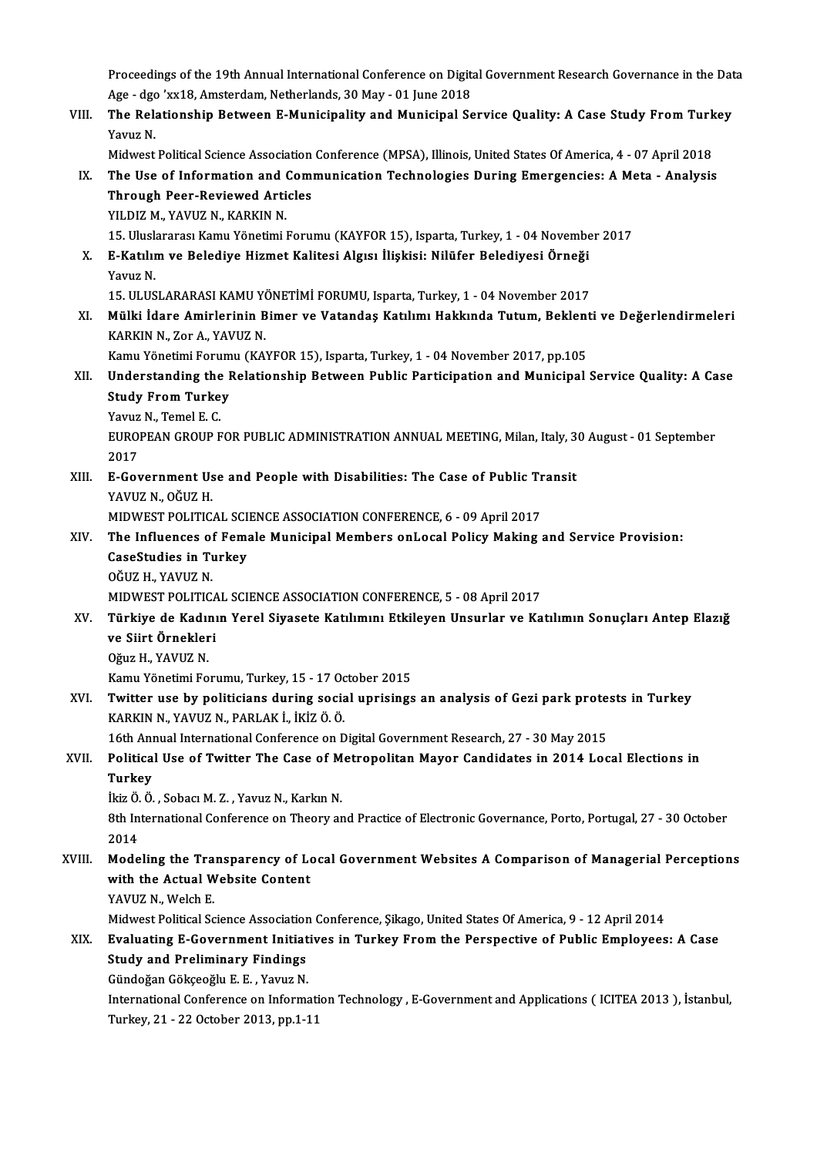Proceedings of the 19th Annual International Conference on Digital Government Research Governance in the Data<br>Age, dgg /w/18, Ameterdam Netherlands, 20 May , 01 June 2019 Proceedings of the 19th Annual International Conference on Digit<br>Age - dgo 'xx18, Amsterdam, Netherlands, 30 May - 01 June 2018<br>The Pelationship Petusen, E Munisipelity and Munisipel Se Proceedings of the 19th Annual International Conference on Digital Government Research Governance in the Dat<br>Age - dgo 'xx18, Amsterdam, Netherlands, 30 May - 01 June 2018<br>VIII. The Relationship Between E-Municipality and

Age - dgo<br>**The Rel**a<br>Yavuz N. The Relationship Between E-Municipality and Municipal Service Quality: A Case Study From Turkey<br>Yavuz N.

IX. The Use of Information and Communication Technologies During Emergencies: A Meta - Analysis Midwest Political Science Association Conference (MPSA), Illinois, United States Of America, 4 - 07 April 2018<br>The Use of Information and Communication Technologies During Emergencies: A Meta - Analysis<br>Through Peer-Review Through Peer-Reviewed Articles Through Peer-Reviewed Articles<br>YILDIZ M., YAVUZ N., KARKIN N.<br>15. Uluslararası Kamu Yönetimi Forumu (KAYFOR 15), Isparta, Turkey, 1 - 04 November 2017<br>E. Katılım ve Belediye Higmet Kalitesi Algısı İlişkisi, Nilüfor Belediy

YILDIZ M., YAVUZ N., KARKIN N.<br>15. Uluslararası Kamu Yönetimi Forumu (KAYFOR 15), Isparta, Turkey, 1 - 04 Novembe<br>X. E-Katılım ve Belediye Hizmet Kalitesi Algısı İlişkisi: Nilüfer Belediyesi Örneği<br>Yayuz N 15. Ulusla<br>**E-Katılıı**<br>Yavuz N.<br>15. ULUS E-Katılım ve Belediye Hizmet Kalitesi Algısı İlişkisi: Nilüfer Belediyesi Örneği<br>Yavuz N.<br>15. ULUSLARARASI KAMU YÖNETİMİ FORUMU, Isparta, Turkey, 1 - 04 November 2017<br>Mülki İdare Amirlerinin Bimer ve Vetandes Katılımı Hakk

Yavuz N.<br>15. ULUSLARARASI KAMU YÖNETİMİ FORUMU, Isparta, Turkey, 1 - 04 November 2017<br>XI. Mülki İdare Amirlerinin Bimer ve Vatandaş Katılımı Hakkında Tutum, Beklenti ve Değerlendirmeleri<br>KARKIN N. ZORA, YAVUZ N 15. ULUSLARARASI KAMU YO<br>Mülki İdare Amirlerinin B<br>KARKIN N., Zor A., YAVUZ N. Mülki İdare Amirlerinin Bimer ve Vatandaş Katılımı Hakkında Tutum, Beklent<br>KARKIN N., Zor A., YAVUZ N.<br>Kamu Yönetimi Forumu (KAYFOR 15), Isparta, Turkey, 1 - 04 November 2017, pp.105<br>Understanding the Belationshin Between

KARKIN N., Zor A., YAVUZ N.<br>Kamu Yönetimi Forumu (KAYFOR 15), Isparta, Turkey, 1 - 04 November 2017, pp.105<br>XII. Understanding the Relationship Between Public Participation and Municipal Service Quality: A Case<br>Study F Kamu Yönetimi Forum<br>Understanding the I<br>Study From Turkey<br><sup>Vouur N.</sup> Temel E.C **Understanding the<br>Study From Turke<br>Yavuz N., Temel E. C.<br>FUROPEAN CROUP E** 

Study From Turkey<br>Yavuz N., Temel E. C.<br>EUROPEAN GROUP FOR PUBLIC ADMINISTRATION ANNUAL MEETING, Milan, Italy, 30 August - 01 September<br>2017 Yavuz<br>EUROJ<br>2017 EUROPEAN GROUP FOR PUBLIC ADMINISTRATION ANNUAL MEETING, Milan, Italy, 3<br>2017<br>XIII. E-Government Use and People with Disabilities: The Case of Public Transit<br>XAVIIZ N. OČUZ H

2017<br><mark>E-Government Us</mark><br>YAVUZ N., OĞUZ H.<br>MIDWEST POLITIC E-Government Use and People with Disabilities: The Case of Public Tr<br>YAVUZ N., OĞUZ H.<br>MIDWEST POLITICAL SCIENCE ASSOCIATION CONFERENCE, 6 - 09 April 2017<br>The Influences of Female Municipal Members onl osal Policy Making (

- YAVUZ N., OĞUZ H.<br>MIDWEST POLITICAL SCIENCE ASSOCIATION CONFERENCE, 6 09 April 2017<br>XIV. The Influences of Female Municipal Members onLocal Policy Making and Service Provision:<br>CaseStudies in Turkey. MIDWEST POLITICAL SCI<br>The Influences of Fema<br>CaseStudies in Turkey<br>OČUZ H. XAVUZ N The Influences of<br>CaseStudies in Tu<br>OĞUZ H., YAVUZ N.<br>MIDWEST POLITIC CaseStudies in Turkey<br>OĞUZ H., YAVUZ N.<br>MIDWEST POLITICAL SCIENCE ASSOCIATION CONFERENCE, 5 - 08 April 2017
	-

XV. Türkiye de Kadının Yerel Siyasete Katılımını Etkileyen Unsurlar ve Katılımın Sonuçları Antep Elazığ MIDWEST POLITICA<br>Türkiye de Kadını<br>ve Siirt Örnekleri<br>Oğuz H. YAVUZ N Türkiye de Kadıı<br>ve Siirt Örnekler<br>Oğuz H., YAVUZ N.<br>Kamu Vönetimi Fe

Oğuz H., YAVUZ N.<br>Kamu Yönetimi Forumu, Turkey, 15 - 17 October 2015

Oğuz H., YAVUZ N.<br>Kamu Yönetimi Forumu, Turkey, 15 - 17 October 2015<br>XVI. Twitter use by politicians during social uprisings an analysis of Gezi park protests in Turkey<br>KARKIN N. YAWIZ N. BARLAK İ. İKİZ Ö. Ö. Kamu Yönetimi Forumu, Turkey, 15 - 17 Oc<br>**Twitter use by politicians during socia**<br>KARKIN N., YAVUZ N., PARLAK İ., İKİZ Ö. Ö.<br>16th Annual International Conference or D Twitter use by politicians during social uprisings an analysis of Gezi park prote:<br>KARKIN N., YAVUZ N., PARLAK İ., İKİZ Ö. Ö.<br>16th Annual International Conference on Digital Government Research, 27 - 30 May 2015<br>Political

# KARKIN N., YAVUZ N., PARLAK İ., İKİZ Ö. Ö.<br>16th Annual International Conference on Digital Government Research, 27 - 30 May 2015<br>XVII. Political Use of Twitter The Case of Metropolitan Mayor Candidates in 2014 Local El 16th An<mark>ı</mark><br>Politica<br>Turkey<br><sup>İltiz</sup> Ö. Ö Political Use of Twitter The Case of M<br>Turkey<br>İkiz Ö.Ö., Sobacı M. Z., Yavuz N., Karkın N.<br><sup>9th International Conference on Theory er</sup>

Turkey<br>İkiz Ö. Ö. , Sobacı M. Z. , Yavuz N., Karkın N.<br>8th International Conference on Theory and Practice of Electronic Governance, Porto, Portugal, 27 - 30 October<br>2014 İkiz Ö.<br>8th In<br>2014 8th International Conference on Theory and Practice of Electronic Governance, Porto, Portugal, 27 - 30 October<br>2014<br>XVIII. Modeling the Transparency of Local Government Websites A Comparison of Managerial Perceptions<br>with

# 2014<br>Modeling the Transparency of Lo<br>With the Actual Website Content<br>XAVUZ N. Welch E Modeling the Tra<br>with the Actual W<br>YAVUZ N., Welch E.<br>Midwest Political So

YAVUZ N., Welch E.<br>Midwest Political Science Association Conference, Şikago, United States Of America, 9 - 12 April 2014

# YAVUZ N., Welch E.<br>Midwest Political Science Association Conference, Şikago, United States Of America, 9 - 12 April 2014<br>XIX. Evaluating E-Government Initiatives in Turkey From the Perspective of Public Employees: A Ca Midwest Political Science Association<br>Evaluating E-Government Initiat<br>Study and Preliminary Findings<br>Sündoğan Göksesğlu E.E. Yayuz N Evaluating E-Government Initiat<br>Study and Preliminary Findings<br>Gündoğan Gökçeoğlu E. E. , Yavuz N.<br>International Conference on Informa Study and Preliminary Findings<br>Gündoğan Gökçeoğlu E. E. , Yavuz N.<br>International Conference on Information Technology , E-Government and Applications ( ICITEA 2013 ), İstanbul,

Turkey,21 -22October 2013,pp.1-11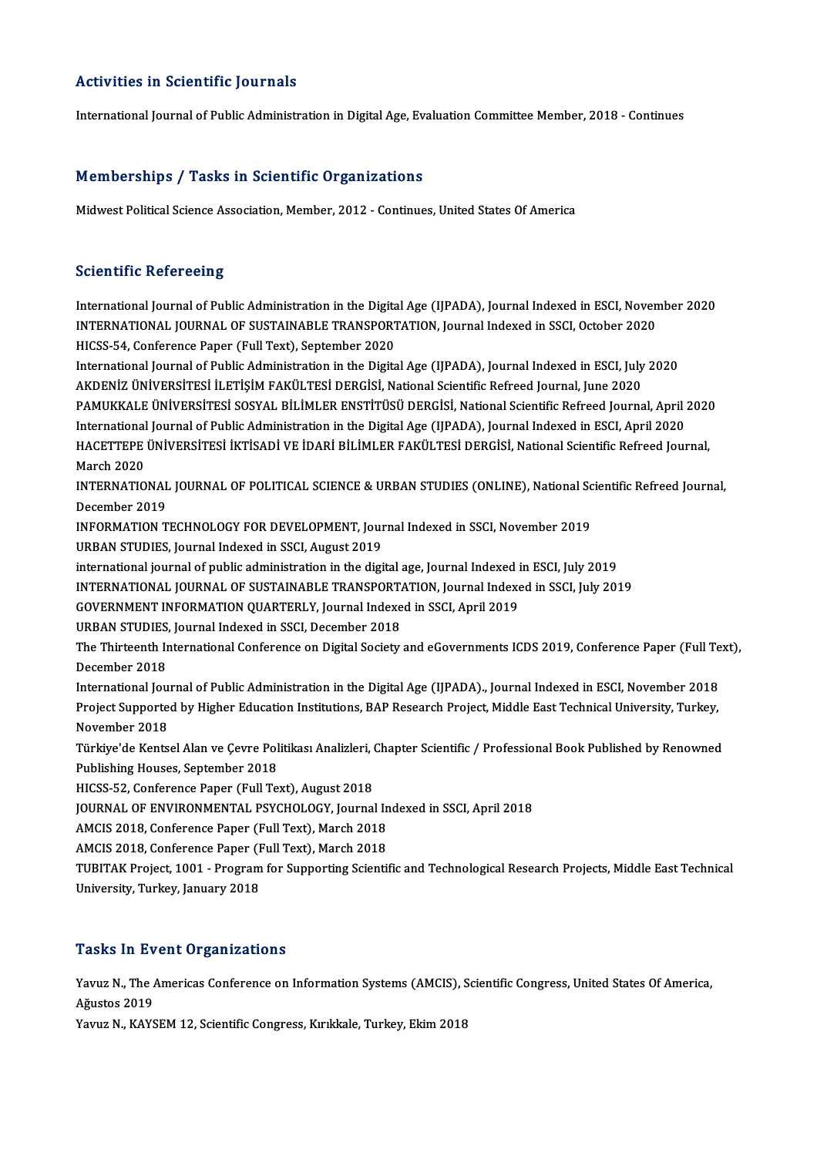# Activities in Scientific Journals

International Journal of Public Administration in Digital Age, Evaluation Committee Member, 2018 - Continues

# Memberships / Tasks in Scientific Organizations

Midwest Political Science Association, Member, 2012 - Continues, United States Of America

# **Scientific Refereeing**

Scientific Refereeing<br>International Journal of Public Administration in the Digital Age (IJPADA), Journal Indexed in ESCI, November 2020<br>INTERNATIONAL JOURNAL OF SUSTAINARLE TRANSPORTATION, Journal Indexed in SSCI, October Berentifice Refereeing<br>International Journal of Public Administration in the Digital Age (IJPADA), Journal Indexed in ESCI, Noven<br>INTERNATIONAL JOURNAL OF SUSTAINABLE TRANSPORTATION, Journal Indexed in SSCI, October 2020<br>H International Journal of Public Administration in the Digita<br>INTERNATIONAL JOURNAL OF SUSTAINABLE TRANSPORT<br>HICSS-54, Conference Paper (Full Text), September 2020<br>International Journal of Bublic Administration in the Digit INTERNATIONAL JOURNAL OF SUSTAINABLE TRANSPORTATION, Journal Indexed in SSCI, October 2020<br>HICSS-54, Conference Paper (Full Text), September 2020<br>International Journal of Public Administration in the Digital Age (IJPADA),

HICSS-54, Conference Paper (Full Text), September 2020<br>International Journal of Public Administration in the Digital Age (IJPADA), Journal Indexed in ESCI, July<br>AKDENİZ ÜNİVERSİTESİ İLETİŞİM FAKÜLTESİ DERGİSİ, National Sci International Journal of Public Administration in the Digital Age (IJPADA), Journal Indexed in ESCI, July 2020<br>AKDENİZ ÜNİVERSİTESİ İLETİŞİM FAKÜLTESİ DERGİSİ, National Scientific Refreed Journal, June 2020<br>PAMUKKALE ÜNİVE AKDENİZ ÜNİVERSİTESİ İLETİŞİM FAKÜLTESİ DERGİSİ, National Scientific Refreed Journal, June 2020<br>PAMUKKALE ÜNİVERSİTESİ SOSYAL BİLİMLER ENSTİTÜSÜ DERGİSİ, National Scientific Refreed Journal, April 2<br>International Journal o PAMUKKALE ÜNİVERSİTESİ SOSYAL BİLİMLER ENSTİTÜSÜ DERGİSİ, National Scientific Refreed Journal, April 2020<br>International Journal of Public Administration in the Digital Age (IJPADA), Journal Indexed in ESCI, April 2020<br>HACE International<br>HACETTEPE<br>March 2020<br>INTERNATIO HACETTEPE ÜNİVERSİTESİ İKTİSADİ VE İDARİ BİLİMLER FAKÜLTESİ DERGİSİ, National Scientific Refreed Journal,<br>March 2020<br>INTERNATIONAL JOURNAL OF POLITICAL SCIENCE & URBAN STUDIES (ONLINE), National Scientific Refreed Journal,

March 2020<br>INTERNATIONAL<br>December 2019<br>INFORMATION T INTERNATIONAL JOURNAL OF POLITICAL SCIENCE & URBAN STUDIES (ONLINE), National Sc<br>December 2019<br>INFORMATION TECHNOLOGY FOR DEVELOPMENT, Journal Indexed in SSCI, November 2019<br>UPBAN STUDIES, Journal Indoved in SSCI, August 2

December 2019<br>INFORMATION TECHNOLOGY FOR DEVELOPMENT, Journal Indexed in SSCI, November 2019<br>URBAN STUDIES, Journal Indexed in SSCI, August 2019 URBAN STUDIES, Journal Indexed in SSCI, August 2019<br>international journal of public administration in the digital age, Journal Indexed in ESCI, July 2019<br>INTERNATIONAL JOURNAL OF SUSTAINABLE TRANSPORTATION, Journal Indexed

international journal of public administration in the digital age, Journal Indexed in ESCI, July 2019

international journal of public administration in the digital age, Journal Indexed in<br>The INTERNATIONAL JOURNAL OF SUSTAINABLE TRANSPORTATION, Journal Indexe<br>GOVERNMENT INFORMATION QUARTERLY, Journal Indexed in SSCI, April INTERNATIONAL JOURNAL OF SUSTAINABLE TRANSPORT<br>GOVERNMENT INFORMATION QUARTERLY, Journal Indexe<br>URBAN STUDIES, Journal Indexed in SSCI, December 2018<br>The Thirteenth International Conference on Digital Seciety

GOVERNMENT INFORMATION QUARTERLY, Journal Indexed in SSCI, April 2019<br>URBAN STUDIES, Journal Indexed in SSCI, December 2018<br>The Thirteenth International Conference on Digital Society and eGovernments ICDS 2019, Conference URBAN STUDIES, Journal Indexed in SSCI, December 2018<br>The Thirteenth International Conference on Digital Society<br>December 2018 The Thirteenth International Conference on Digital Society and eGovernments ICDS 2019, Conference Paper (Full Te<br>December 2018<br>International Journal of Public Administration in the Digital Age (IJPADA)., Journal Indexed in

Project Supported by Higher Education Institutions, BAP Research Project, Middle East Technical University, Turkey,<br>November 2018 International Journal of Public Administration in the Digital Age (IJPADA)., Journal Indexed in ESCI, November 2018

Türkiye'de Kentsel Alan ve Çevre Politikası Analizleri, Chapter Scientific / Professional Book Published by Renowned Publishing Houses, September 2018 Türkiye'de Kentsel Alan ve Çevre Politikası Analizleri, (<br>Publishing Houses, September 2018<br>HICSS-52, Conference Paper (Full Text), August 2018<br>JOUPMAL OF ENVIRONMENTAL PSYCHOLOCY, Journal

JOURNAL OF ENVIRONMENTAL PSYCHOLOGY, Journal Indexed in SSCI, April 2018<br>AMCIS 2018, Conference Paper (Full Text), March 2018 HICSS-52, Conference Paper (Full Text), August 2018<br>JOURNAL OF ENVIRONMENTAL PSYCHOLOGY, Journal In<br>AMCIS 2018, Conference Paper (Full Text), March 2018<br>AMCIS 2018, Conference Paper (Full Text), March 2019 JOURNAL OF ENVIRONMENTAL PSYCHOLOGY, Journal In<br>AMCIS 2018, Conference Paper (Full Text), March 2018<br>AMCIS 2018, Conference Paper (Full Text), March 2018<br>TUBITAK Preject 1001 - Pregram for Supperting Scienti

TUBITAK Project, 1001 - Program for Supporting Scientific and Technological Research Projects, Middle East Technical<br>University, Turkey, January 2018 AMCIS 2018, Conference Paper (F<br>TUBITAK Project, 1001 - Program<br>University, Turkey, January 2018

# **Tasks In Event Organizations**

Tasks In Event Organizations<br>Yavuz N., The Americas Conference on Information Systems (AMCIS), Scientific Congress, United States Of America, 1 dono 11 d v<br>Yavuz N., The *1*<br>Ağustos 2019<br>Yavuz N. *Y* AVS Yavuz N., The Americas Conference on Information Systems (AMCIS), S<br>Ağustos 2019<br>Yavuz N., KAYSEM 12, Scientific Congress, Kırıkkale, Turkey, Ekim 2018